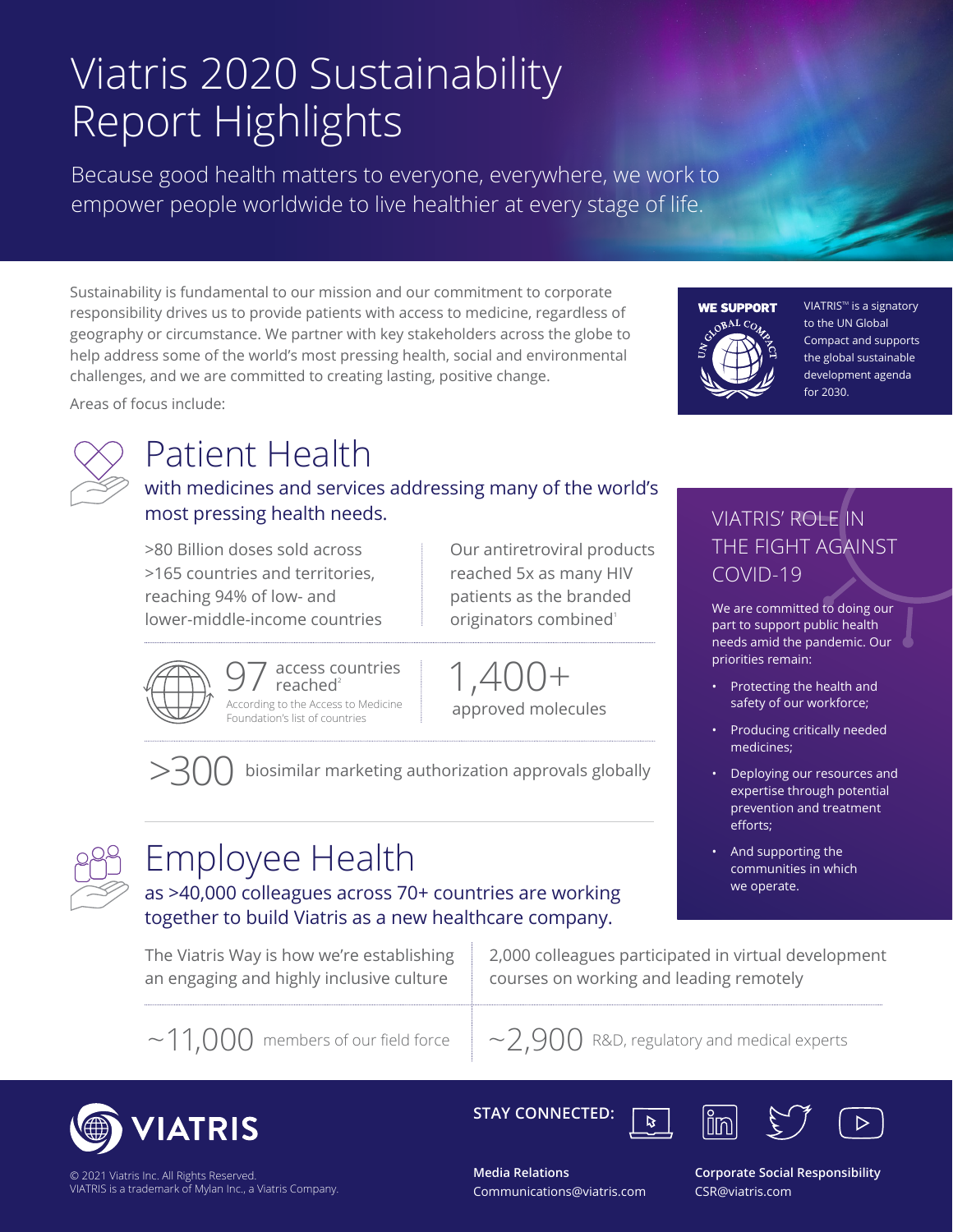# Viatris 2020 Sustainability Report Highlights

Because good health matters to everyone, everywhere, we work to empower people worldwide to live healthier at every stage of life.

Sustainability is fundamental to our mission and our commitment to corporate responsibility drives us to provide patients with access to medicine, regardless of geography or circumstance. We partner with key stakeholders across the globe to help address some of the world's most pressing health, social and environmental challenges, and we are committed to creating lasting, positive change.



VIATRIS<sup>™</sup> is a signatory to the UN Global Compact and supports the global sustainable development agenda for 2030.



Areas of focus include:

## Patient Health

with medicines and services addressing many of the world's most pressing health needs.

>80 Billion doses sold across >165 countries and territories, reaching 94% of low- and lower-middle-income countries Our antiretroviral products reached 5x as many HIV patients as the branded originators combined<sup>1</sup>

1,400+ approved molecules

>300 biosimilar marketing authorization approvals globally



# Employee Health

as >40,000 colleagues across 70+ countries are working together to build Viatris as a new healthcare company.

The Viatris Way is how we're establishing an engaging and highly inclusive culture

 $97$  access countries<br>According to the Access to Medicine reached $2$ 

Foundation's list of countries

2,000 colleagues participated in virtual development courses on working and leading remotely



 $\mathbf{z}$ 



© 2021 Viatris Inc. All Rights Reserved. VIATRIS is a trademark of Mylan Inc., a Viatris Company. **STAY CONNECTED:**





**Media Relations** Communications@viatris.com

**Corporate Social Responsibility**  CSR@viatris.com

# VIATRIS' ROLE IN THE FIGHT AGAINST

COVID-19

We are committed to doing our part to support public health needs amid the pandemic. Our priorities remain:

- Protecting the health and safety of our workforce;
- Producing critically needed medicines;
- Deploying our resources and expertise through potential prevention and treatment efforts;
- And supporting the communities in which we operate.